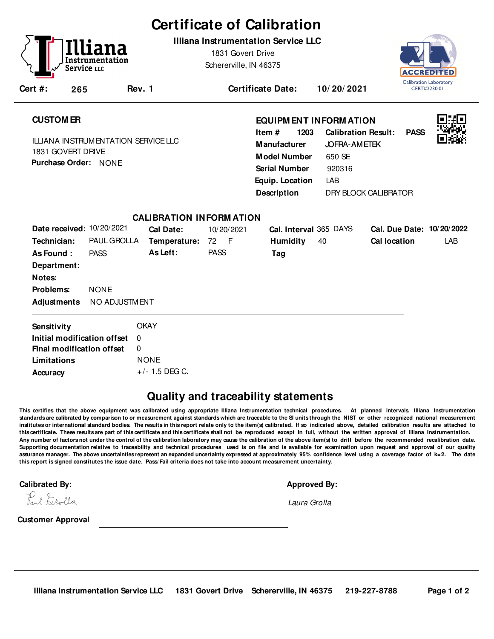# **Certificate of Calibration**

**Illiana Instrumentation Service LLC**

1831 Govert Drive Schererville, IN 46375



| . .<br>٠ľ<br>≏<br>- | ٠ |  |
|---------------------|---|--|
|                     |   |  |

**Rev. 1 Certificate Date: 10/ 20/ 2021**

## **CUSTOM ER**

**Cert #: 265**

Service <sub>LLC</sub>

ILLIANA INSTRUMENTATION SERVICE LLC 1831 GOVERT DRIVE **Purchase Order:** NONE

### **EQUIPM ENT INFORM ATION**

**1203** LAB **Manufacturer** JOFRA-AMETEK **Model Number** 650 SE **Equip. Location Calibration Result: PASS Description Item # Serial Number** 920316 DRY BLOCK CALIBRATOR



|                             |                    | <b>CALIBRATION INFORMATION</b> |             |                        |                           |
|-----------------------------|--------------------|--------------------------------|-------------|------------------------|---------------------------|
| Date received: 10/20/2021   |                    | Cal Date:                      | 10/20/2021  | Cal. Interval 365 DAYS | Cal. Due Date: 10/20/2022 |
| Technician:                 | <b>PAUL GROLLA</b> | Temperature:                   | 72 F        | <b>Humidity</b><br>40  | Cal location<br>LAB       |
| As Found:                   | <b>PASS</b>        | As Left:                       | <b>PASS</b> | Tag                    |                           |
| Department:                 |                    |                                |             |                        |                           |
| Notes:                      |                    |                                |             |                        |                           |
| Problems:                   | <b>NONE</b>        |                                |             |                        |                           |
| Adjustments NO ADJUSTMENT   |                    |                                |             |                        |                           |
| Sensitivity                 |                    | <b>OKAY</b>                    |             |                        |                           |
| Initial modification offset |                    | $\Omega$                       |             |                        |                           |
| Final modification offset   |                    | 0                              |             |                        |                           |
| Limitations                 |                    | <b>NONE</b>                    |             |                        |                           |
| Accuracy                    |                    | $+/-$ 1.5 DEG C.               |             |                        |                           |

## **Quality and traceability statements**

**This certifies that the above equipment was calibrated using appropriate Illiana Instrumentation technical procedures. At planned intervals, Illiana Instrumentation standards are calibrated by comparison to or measurement against standards which are traceable to the SI units through the NIST or other recognized national measurement institutes or international standard bodies. The results in this report relate only to the item(s) calibrated. If so indicated above, detailed calibration results are attached to this certificate. These results are part of this certificate and this certificate shall not be reproduced except in full, without the written approval of Illiana Instrumentation. Any number of factors not under the control of the calibration laboratory may cause the calibration of the above item(s) to drift before the recommended recalibration date. Supporting documentation relative to traceability and technical procedures used is on file and is available for examination upon request and approval of our quality assurance manager. The above uncertainties represent an expanded uncertainty expressed at approximately 95% confidence level using a coverage factor of k=2. The date this report is signed constitutes the issue date. Pass/ Fail criteria does not take into account measurement uncertainty.**-

**Calibrated By: Approved By: Approved By: Approved By: Approved By: Approved By: Approved By: Approved By: Approved By: Approved By: Approved By: Approved By: Approved By: Approved By: Approved** 

Pul Drolla

Laura Grolla

**Customer Approval**